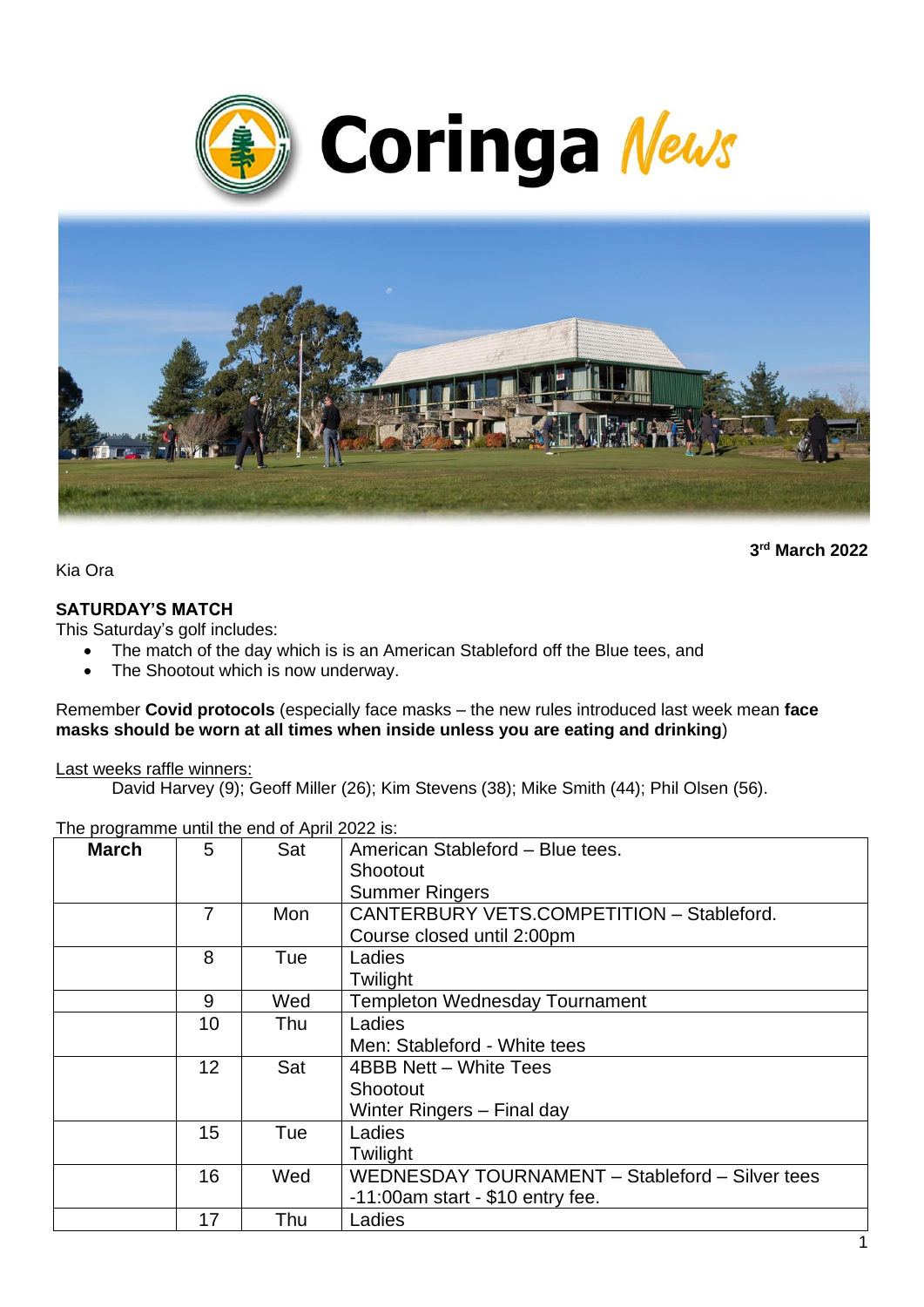



**3 rd March 2022**

Kia Ora

#### **SATURDAY'S MATCH**

This Saturday's golf includes:

- The match of the day which is is an American Stableford off the Blue tees, and
- The Shootout which is now underway.

Remember **Covid protocols** (especially face masks – the new rules introduced last week mean **face masks should be worn at all times when inside unless you are eating and drinking**)

Last weeks raffle winners:

David Harvey (9); Geoff Miller (26); Kim Stevens (38); Mike Smith (44); Phil Olsen (56).

| The programme until the end of April 2022 is: |  |
|-----------------------------------------------|--|
|-----------------------------------------------|--|

| <b>March</b> | 5  | Sat | American Stableford - Blue tees.<br>Shootout<br><b>Summer Ringers</b>                  |
|--------------|----|-----|----------------------------------------------------------------------------------------|
|              | 7  | Mon | CANTERBURY VETS.COMPETITION - Stableford.<br>Course closed until 2:00pm                |
|              | 8  | Tue | Ladies<br>Twilight                                                                     |
|              | 9  | Wed | <b>Templeton Wednesday Tournament</b>                                                  |
|              | 10 | Thu | Ladies<br>Men: Stableford - White tees                                                 |
|              | 12 | Sat | 4BBB Nett - White Tees<br>Shootout<br>Winter Ringers - Final day                       |
|              | 15 | Tue | Ladies<br>Twilight                                                                     |
|              | 16 | Wed | WEDNESDAY TOURNAMENT - Stableford - Silver tees<br>$-11:00$ am start - \$10 entry fee. |
|              | 17 | Thu | Ladies                                                                                 |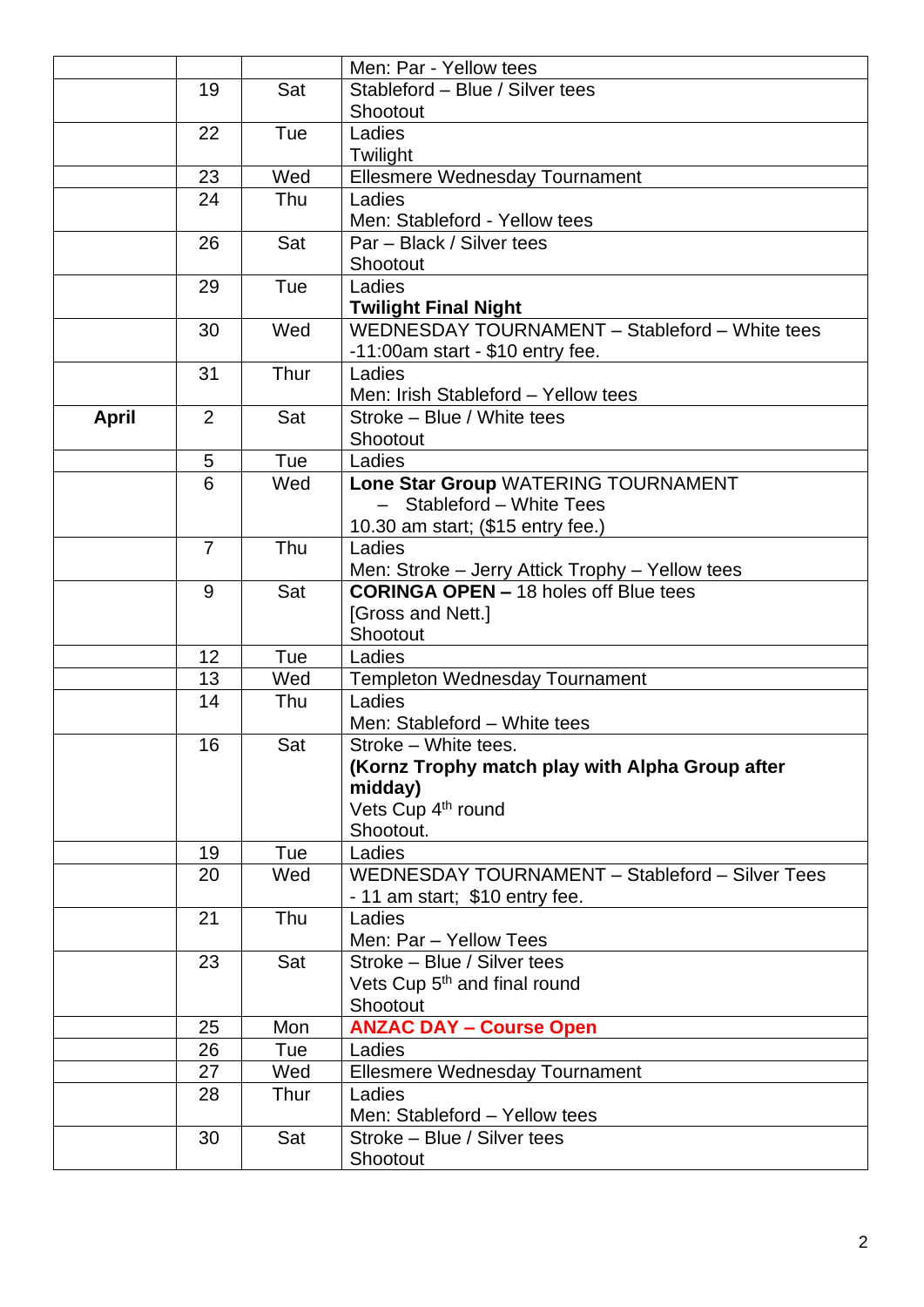|              |                |      | Men: Par - Yellow tees                                                                          |
|--------------|----------------|------|-------------------------------------------------------------------------------------------------|
|              | 19             | Sat  | Stableford - Blue / Silver tees                                                                 |
|              |                |      | Shootout                                                                                        |
|              | 22             | Tue  | Ladies                                                                                          |
|              |                |      | Twilight                                                                                        |
|              | 23             | Wed  | Ellesmere Wednesday Tournament                                                                  |
|              | 24             | Thu  | Ladies                                                                                          |
|              |                |      | Men: Stableford - Yellow tees                                                                   |
|              | 26             | Sat  | Par - Black / Silver tees                                                                       |
|              |                |      | Shootout                                                                                        |
|              | 29             | Tue  | Ladies                                                                                          |
|              |                |      | <b>Twilight Final Night</b>                                                                     |
|              | 30             | Wed  | WEDNESDAY TOURNAMENT - Stableford - White tees                                                  |
|              |                |      | $-11:00$ am start - \$10 entry fee.                                                             |
|              | 31             | Thur | Ladies                                                                                          |
|              |                |      | Men: Irish Stableford - Yellow tees                                                             |
| <b>April</b> | 2              | Sat  | Stroke - Blue / White tees                                                                      |
|              |                |      | Shootout                                                                                        |
|              | 5              | Tue  | Ladies                                                                                          |
|              | 6              | Wed  | Lone Star Group WATERING TOURNAMENT                                                             |
|              |                |      | Stableford - White Tees                                                                         |
|              |                |      | 10.30 am start; (\$15 entry fee.)                                                               |
|              | $\overline{7}$ | Thu  | Ladies                                                                                          |
|              |                |      | Men: Stroke – Jerry Attick Trophy – Yellow tees<br><b>CORINGA OPEN - 18 holes off Blue tees</b> |
|              | 9              | Sat  | [Gross and Nett.]                                                                               |
|              |                |      | Shootout                                                                                        |
|              | 12             | Tue  | Ladies                                                                                          |
|              | 13             | Wed  | <b>Templeton Wednesday Tournament</b>                                                           |
|              | 14             | Thu  | Ladies                                                                                          |
|              |                |      | Men: Stableford - White tees                                                                    |
|              | 16             | Sat  | Stroke - White tees.                                                                            |
|              |                |      | (Kornz Trophy match play with Alpha Group after                                                 |
|              |                |      | midday)                                                                                         |
|              |                |      | Vets Cup 4 <sup>th</sup> round                                                                  |
|              |                |      | Shootout.                                                                                       |
|              | 19             | Tue  | Ladies                                                                                          |
|              | 20             | Wed  | WEDNESDAY TOURNAMENT - Stableford - Silver Tees                                                 |
|              |                |      | - 11 am start; \$10 entry fee.                                                                  |
|              | 21             | Thu  | Ladies                                                                                          |
|              |                |      | Men: Par - Yellow Tees                                                                          |
|              | 23             | Sat  | Stroke - Blue / Silver tees                                                                     |
|              |                |      | Vets Cup 5 <sup>th</sup> and final round                                                        |
|              |                |      | Shootout                                                                                        |
|              | 25             | Mon  | <b>ANZAC DAY - Course Open</b>                                                                  |
|              | 26             | Tue  | Ladies                                                                                          |
|              | 27             | Wed  | <b>Ellesmere Wednesday Tournament</b>                                                           |
|              | 28             | Thur | Ladies                                                                                          |
|              |                |      | Men: Stableford - Yellow tees                                                                   |
|              | 30             | Sat  | Stroke - Blue / Silver tees                                                                     |
|              |                |      | Shootout                                                                                        |
|              |                |      |                                                                                                 |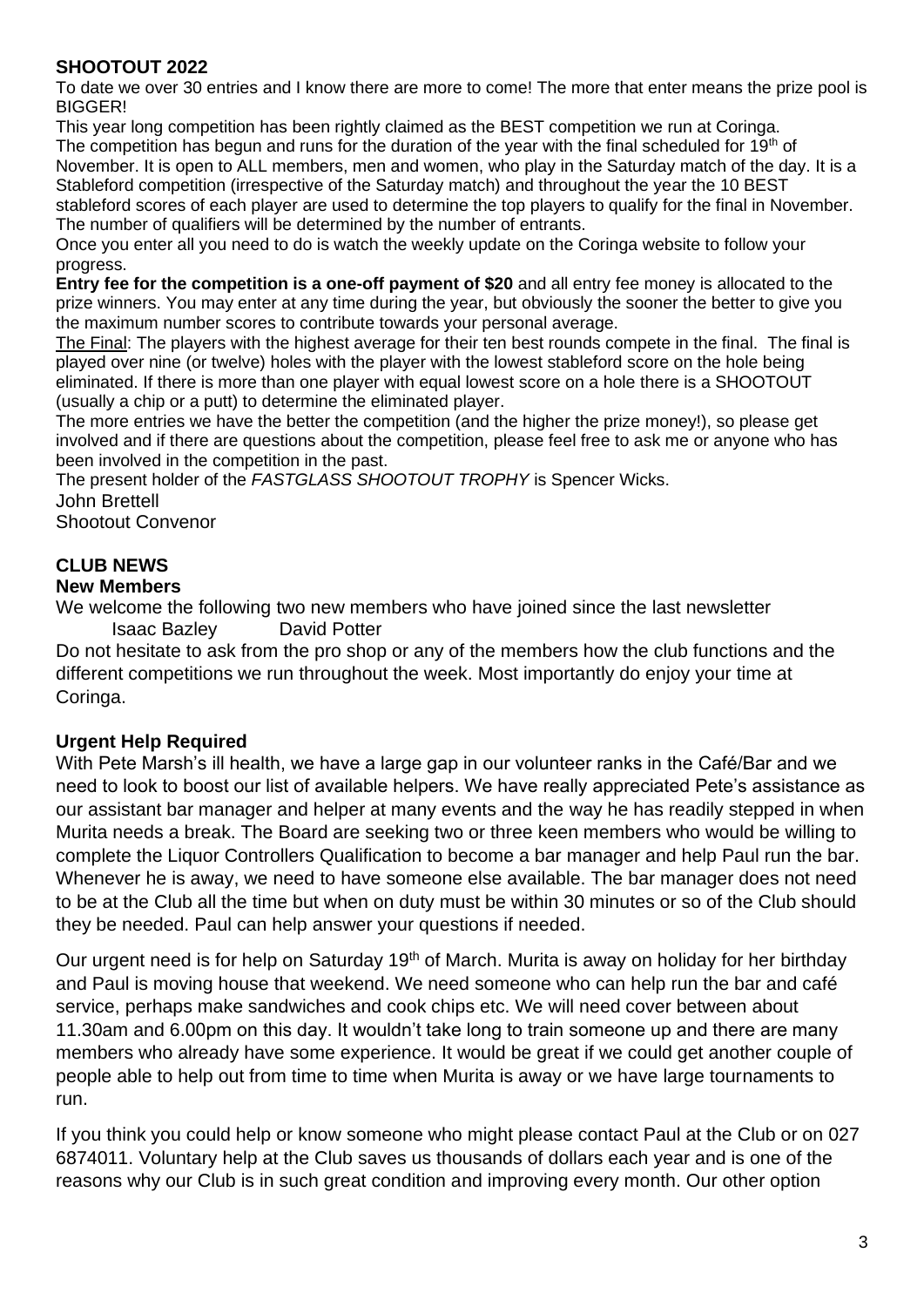### **SHOOTOUT 2022**

To date we over 30 entries and I know there are more to come! The more that enter means the prize pool is BIGGER!

This year long competition has been rightly claimed as the BEST competition we run at Coringa. The competition has begun and runs for the duration of the year with the final scheduled for 19<sup>th</sup> of November. It is open to ALL members, men and women, who play in the Saturday match of the day. It is a Stableford competition (irrespective of the Saturday match) and throughout the year the 10 BEST stableford scores of each player are used to determine the top players to qualify for the final in November. The number of qualifiers will be determined by the number of entrants.

Once you enter all you need to do is watch the weekly update on the Coringa website to follow your progress.

**Entry fee for the competition is a one-off payment of \$20** and all entry fee money is allocated to the prize winners. You may enter at any time during the year, but obviously the sooner the better to give you the maximum number scores to contribute towards your personal average.

The Final: The players with the highest average for their ten best rounds compete in the final. The final is played over nine (or twelve) holes with the player with the lowest stableford score on the hole being eliminated. If there is more than one player with equal lowest score on a hole there is a SHOOTOUT (usually a chip or a putt) to determine the eliminated player.

The more entries we have the better the competition (and the higher the prize money!), so please get involved and if there are questions about the competition, please feel free to ask me or anyone who has been involved in the competition in the past.

The present holder of the *FASTGLASS SHOOTOUT TROPHY* is Spencer Wicks. John Brettell Shootout Convenor

# **CLUB NEWS**

#### **New Members**

We welcome the following two new members who have joined since the last newsletter Isaac Bazley David Potter

Do not hesitate to ask from the pro shop or any of the members how the club functions and the different competitions we run throughout the week. Most importantly do enjoy your time at Coringa.

## **Urgent Help Required**

With Pete Marsh's ill health, we have a large gap in our volunteer ranks in the Café/Bar and we need to look to boost our list of available helpers. We have really appreciated Pete's assistance as our assistant bar manager and helper at many events and the way he has readily stepped in when Murita needs a break. The Board are seeking two or three keen members who would be willing to complete the Liquor Controllers Qualification to become a bar manager and help Paul run the bar. Whenever he is away, we need to have someone else available. The bar manager does not need to be at the Club all the time but when on duty must be within 30 minutes or so of the Club should they be needed. Paul can help answer your questions if needed.

Our urgent need is for help on Saturday 19<sup>th</sup> of March. Murita is away on holiday for her birthday and Paul is moving house that weekend. We need someone who can help run the bar and café service, perhaps make sandwiches and cook chips etc. We will need cover between about 11.30am and 6.00pm on this day. It wouldn't take long to train someone up and there are many members who already have some experience. It would be great if we could get another couple of people able to help out from time to time when Murita is away or we have large tournaments to run.

If you think you could help or know someone who might please contact Paul at the Club or on 027 6874011. Voluntary help at the Club saves us thousands of dollars each year and is one of the reasons why our Club is in such great condition and improving every month. Our other option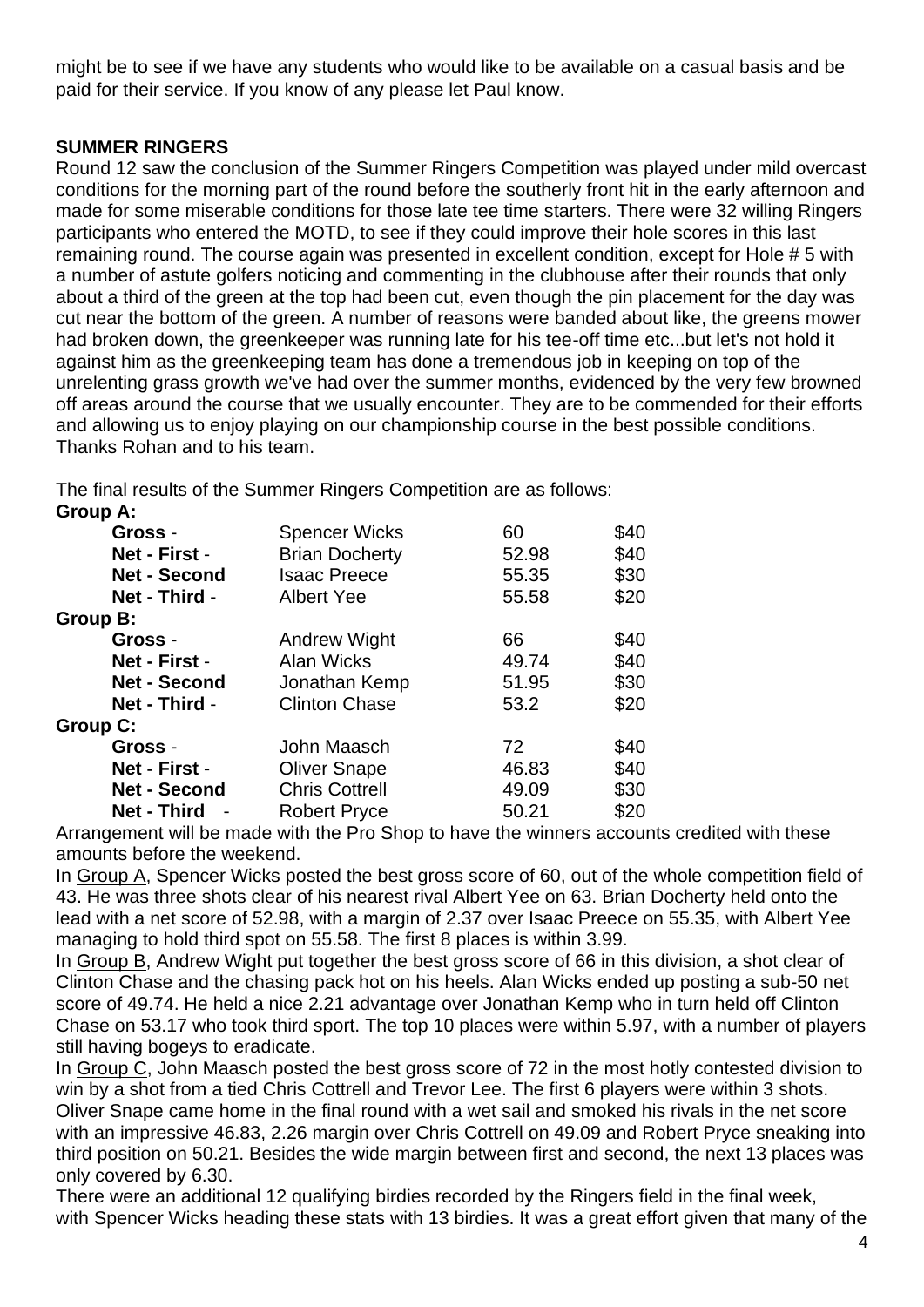might be to see if we have any students who would like to be available on a casual basis and be paid for their service. If you know of any please let Paul know.

#### **SUMMER RINGERS**

Round 12 saw the conclusion of the Summer Ringers Competition was played under mild overcast conditions for the morning part of the round before the southerly front hit in the early afternoon and made for some miserable conditions for those late tee time starters. There were 32 willing Ringers participants who entered the MOTD, to see if they could improve their hole scores in this last remaining round. The course again was presented in excellent condition, except for Hole # 5 with a number of astute golfers noticing and commenting in the clubhouse after their rounds that only about a third of the green at the top had been cut, even though the pin placement for the day was cut near the bottom of the green. A number of reasons were banded about like, the greens mower had broken down, the greenkeeper was running late for his tee-off time etc...but let's not hold it against him as the greenkeeping team has done a tremendous job in keeping on top of the unrelenting grass growth we've had over the summer months, evidenced by the very few browned off areas around the course that we usually encounter. They are to be commended for their efforts and allowing us to enjoy playing on our championship course in the best possible conditions. Thanks Rohan and to his team.

The final results of the Summer Ringers Competition are as follows:

| Group A:            |                       |       |      |
|---------------------|-----------------------|-------|------|
| Gross -             | <b>Spencer Wicks</b>  | 60    | \$40 |
| Net - First -       | <b>Brian Docherty</b> | 52.98 | \$40 |
| <b>Net - Second</b> | <b>Isaac Preece</b>   | 55.35 | \$30 |
| Net - Third -       | <b>Albert Yee</b>     | 55.58 | \$20 |
| Group B:            |                       |       |      |
| Gross -             | <b>Andrew Wight</b>   | 66    | \$40 |
| Net - First -       | Alan Wicks            | 49.74 | \$40 |
| <b>Net - Second</b> | Jonathan Kemp         | 51.95 | \$30 |
| Net - Third -       | <b>Clinton Chase</b>  | 53.2  | \$20 |
| Group C:            |                       |       |      |
| Gross -             | John Maasch           | 72    | \$40 |
| Net - First -       | <b>Oliver Snape</b>   | 46.83 | \$40 |
| <b>Net - Second</b> | <b>Chris Cottrell</b> | 49.09 | \$30 |
| <b>Net - Third</b>  | <b>Robert Pryce</b>   | 50.21 | \$20 |

Arrangement will be made with the Pro Shop to have the winners accounts credited with these amounts before the weekend.

In Group A, Spencer Wicks posted the best gross score of 60, out of the whole competition field of 43. He was three shots clear of his nearest rival Albert Yee on 63. Brian Docherty held onto the lead with a net score of 52.98, with a margin of 2.37 over Isaac Preece on 55.35, with Albert Yee managing to hold third spot on 55.58. The first 8 places is within 3.99.

In Group B, Andrew Wight put together the best gross score of 66 in this division, a shot clear of Clinton Chase and the chasing pack hot on his heels. Alan Wicks ended up posting a sub-50 net score of 49.74. He held a nice 2.21 advantage over Jonathan Kemp who in turn held off Clinton Chase on 53.17 who took third sport. The top 10 places were within 5.97, with a number of players still having bogeys to eradicate.

In Group C, John Maasch posted the best gross score of 72 in the most hotly contested division to win by a shot from a tied Chris Cottrell and Trevor Lee. The first 6 players were within 3 shots. Oliver Snape came home in the final round with a wet sail and smoked his rivals in the net score with an impressive 46.83, 2.26 margin over Chris Cottrell on 49.09 and Robert Pryce sneaking into third position on 50.21. Besides the wide margin between first and second, the next 13 places was only covered by 6.30.

There were an additional 12 qualifying birdies recorded by the Ringers field in the final week, with Spencer Wicks heading these stats with 13 birdies. It was a great effort given that many of the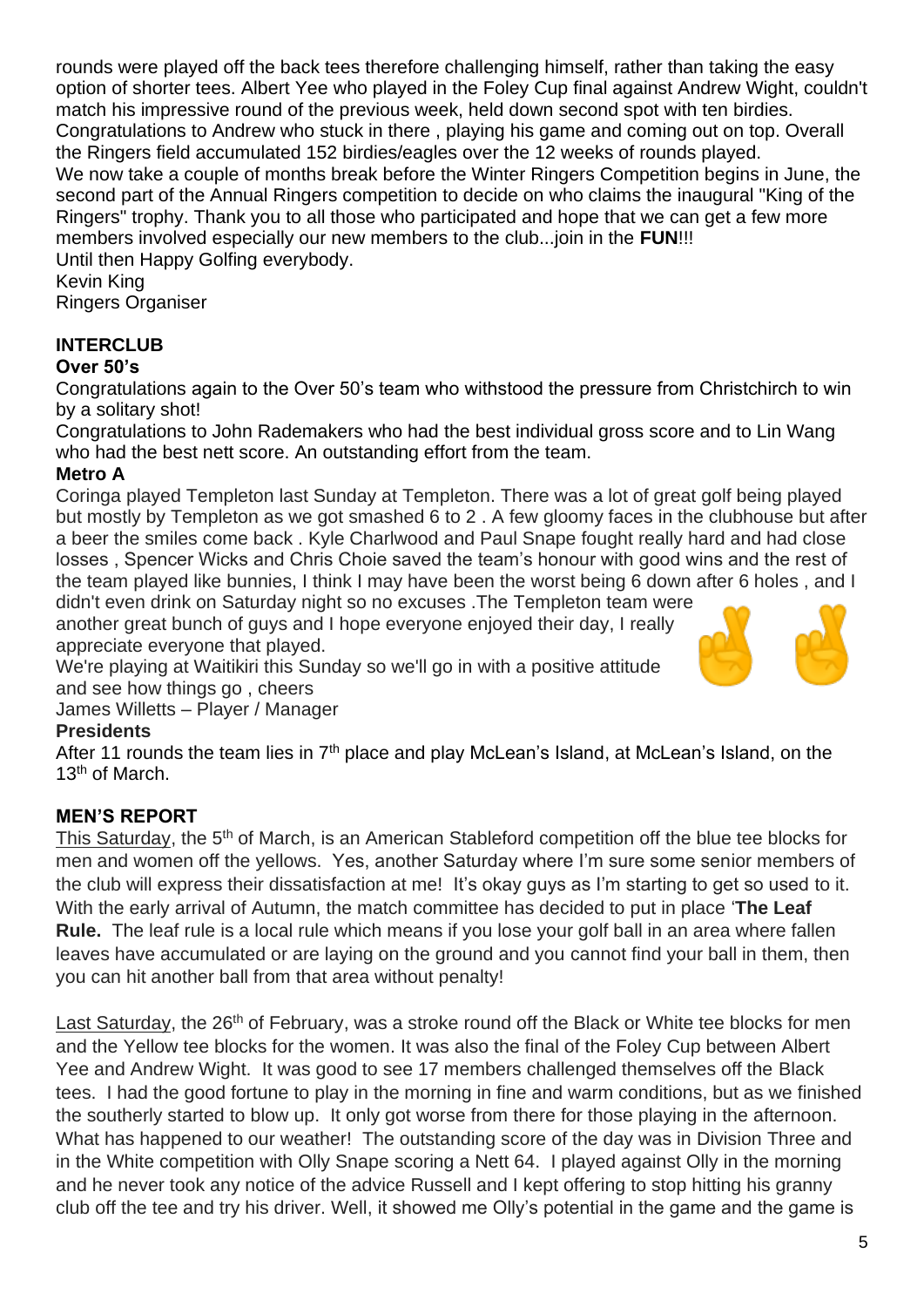rounds were played off the back tees therefore challenging himself, rather than taking the easy option of shorter tees. Albert Yee who played in the Foley Cup final against Andrew Wight, couldn't match his impressive round of the previous week, held down second spot with ten birdies. Congratulations to Andrew who stuck in there , playing his game and coming out on top. Overall the Ringers field accumulated 152 birdies/eagles over the 12 weeks of rounds played. We now take a couple of months break before the Winter Ringers Competition begins in June, the second part of the Annual Ringers competition to decide on who claims the inaugural "King of the Ringers" trophy. Thank you to all those who participated and hope that we can get a few more members involved especially our new members to the club...join in the **FUN**!!! Until then Happy Golfing everybody.

Kevin King Ringers Organiser

## **INTERCLUB**

### **Over 50's**

Congratulations again to the Over 50's team who withstood the pressure from Christchirch to win by a solitary shot!

Congratulations to John Rademakers who had the best individual gross score and to Lin Wang who had the best nett score. An outstanding effort from the team.

### **Metro A**

Coringa played Templeton last Sunday at Templeton. There was a lot of great golf being played but mostly by Templeton as we got smashed 6 to 2 . A few gloomy faces in the clubhouse but after a beer the smiles come back . Kyle Charlwood and Paul Snape fought really hard and had close losses , Spencer Wicks and Chris Choie saved the team's honour with good wins and the rest of the team played like bunnies, I think I may have been the worst being 6 down after 6 holes , and I

didn't even drink on Saturday night so no excuses .The Templeton team were another great bunch of guys and I hope everyone enjoyed their day, I really appreciate everyone that played.

We're playing at Waitikiri this Sunday so we'll go in with a positive attitude and see how things go , cheers



James Willetts – Player / Manager

## **Presidents**

After 11 rounds the team lies in  $7<sup>th</sup>$  place and play McLean's Island, at McLean's Island, on the 13<sup>th</sup> of March.

## **MEN'S REPORT**

This Saturday, the 5<sup>th</sup> of March, is an American Stableford competition off the blue tee blocks for men and women off the yellows. Yes, another Saturday where I'm sure some senior members of the club will express their dissatisfaction at me! It's okay guys as I'm starting to get so used to it. With the early arrival of Autumn, the match committee has decided to put in place '**The Leaf Rule.** The leaf rule is a local rule which means if you lose your golf ball in an area where fallen leaves have accumulated or are laying on the ground and you cannot find your ball in them, then you can hit another ball from that area without penalty!

Last Saturday, the 26<sup>th</sup> of February, was a stroke round off the Black or White tee blocks for men and the Yellow tee blocks for the women. It was also the final of the Foley Cup between Albert Yee and Andrew Wight. It was good to see 17 members challenged themselves off the Black tees. I had the good fortune to play in the morning in fine and warm conditions, but as we finished the southerly started to blow up. It only got worse from there for those playing in the afternoon. What has happened to our weather! The outstanding score of the day was in Division Three and in the White competition with Olly Snape scoring a Nett 64. I played against Olly in the morning and he never took any notice of the advice Russell and I kept offering to stop hitting his granny club off the tee and try his driver. Well, it showed me Olly's potential in the game and the game is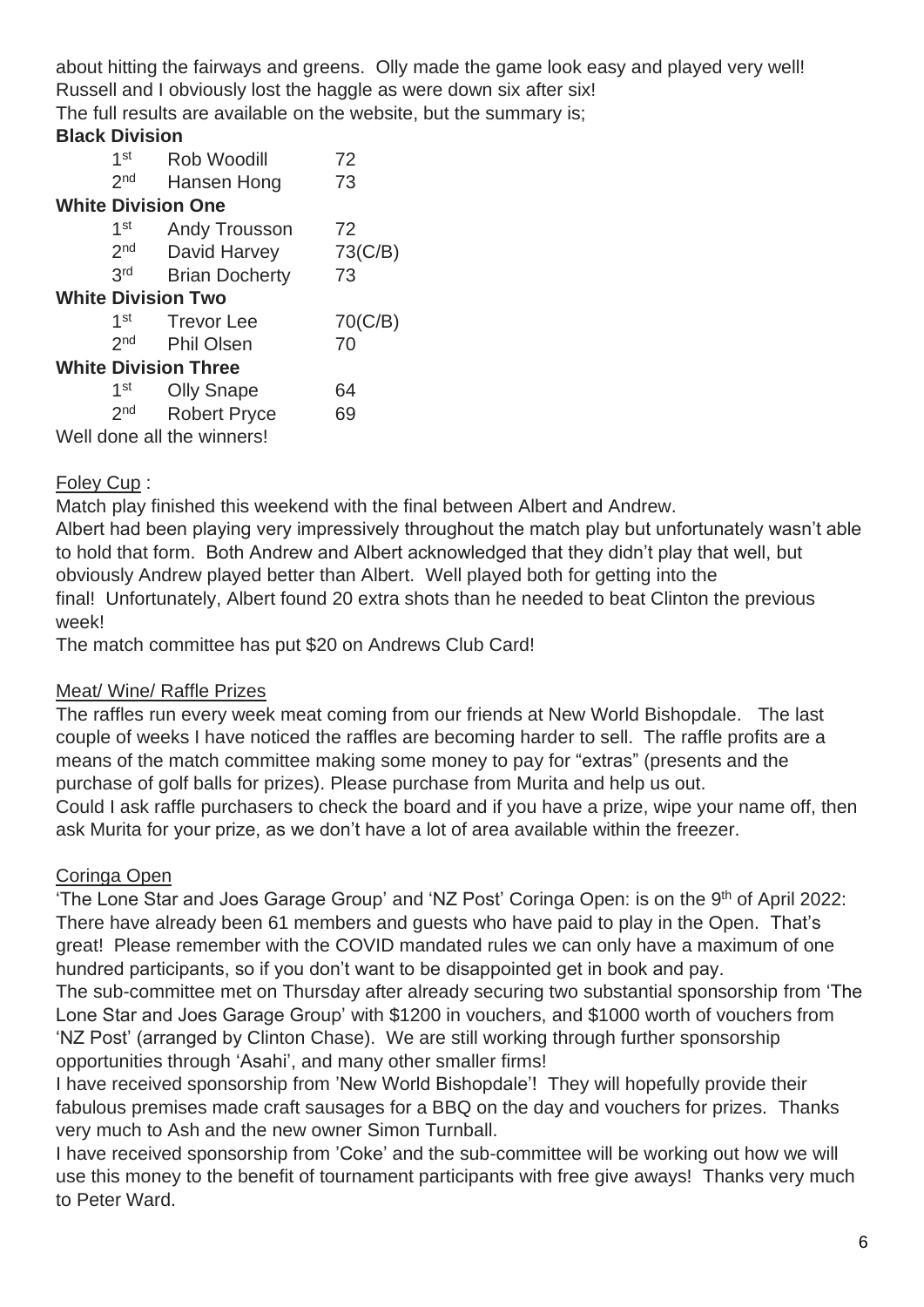about hitting the fairways and greens. Olly made the game look easy and played very well! Russell and I obviously lost the haggle as were down six after six! The full results are available on the website, but the summary is;

### **Black Division**

|                             | 1 <sup>st</sup> | Rob Woodill               | 72      |  |
|-----------------------------|-----------------|---------------------------|---------|--|
|                             | 2 <sub>nd</sub> | Hansen Hong               | 73      |  |
|                             |                 | <b>White Division One</b> |         |  |
|                             | $1$ st          | <b>Andy Trousson</b>      | 72      |  |
|                             | 2 <sub>nd</sub> | David Harvey              | 73(C/B) |  |
|                             | 3rd             | <b>Brian Docherty</b>     | 73      |  |
| <b>White Division Two</b>   |                 |                           |         |  |
|                             | $1$ st          | <b>Trevor Lee</b>         | 70(C/B) |  |
|                             | 2 <sub>nd</sub> | <b>Phil Olsen</b>         | 70      |  |
| <b>White Division Three</b> |                 |                           |         |  |
|                             | 1 <sup>st</sup> | <b>Olly Snape</b>         | 64      |  |
|                             | 2 <sub>nd</sub> | <b>Robert Pryce</b>       | 69      |  |
| Well done all the winners!  |                 |                           |         |  |

## Foley Cup :

Match play finished this weekend with the final between Albert and Andrew.

Albert had been playing very impressively throughout the match play but unfortunately wasn't able to hold that form. Both Andrew and Albert acknowledged that they didn't play that well, but obviously Andrew played better than Albert. Well played both for getting into the final! Unfortunately, Albert found 20 extra shots than he needed to beat Clinton the previous week!

The match committee has put \$20 on Andrews Club Card!

## Meat/ Wine/ Raffle Prizes

The raffles run every week meat coming from our friends at New World Bishopdale. The last couple of weeks I have noticed the raffles are becoming harder to sell. The raffle profits are a means of the match committee making some money to pay for "extras" (presents and the purchase of golf balls for prizes). Please purchase from Murita and help us out. Could I ask raffle purchasers to check the board and if you have a prize, wipe your name off, then ask Murita for your prize, as we don't have a lot of area available within the freezer.

## Coringa Open

'The Lone Star and Joes Garage Group' and 'NZ Post' Coringa Open: is on the 9<sup>th</sup> of April 2022: There have already been 61 members and guests who have paid to play in the Open. That's great! Please remember with the COVID mandated rules we can only have a maximum of one hundred participants, so if you don't want to be disappointed get in book and pay.

The sub-committee met on Thursday after already securing two substantial sponsorship from 'The Lone Star and Joes Garage Group' with \$1200 in vouchers, and \$1000 worth of vouchers from 'NZ Post' (arranged by Clinton Chase). We are still working through further sponsorship opportunities through 'Asahi', and many other smaller firms!

I have received sponsorship from 'New World Bishopdale'! They will hopefully provide their fabulous premises made craft sausages for a BBQ on the day and vouchers for prizes. Thanks very much to Ash and the new owner Simon Turnball.

I have received sponsorship from 'Coke' and the sub-committee will be working out how we will use this money to the benefit of tournament participants with free give aways! Thanks very much to Peter Ward.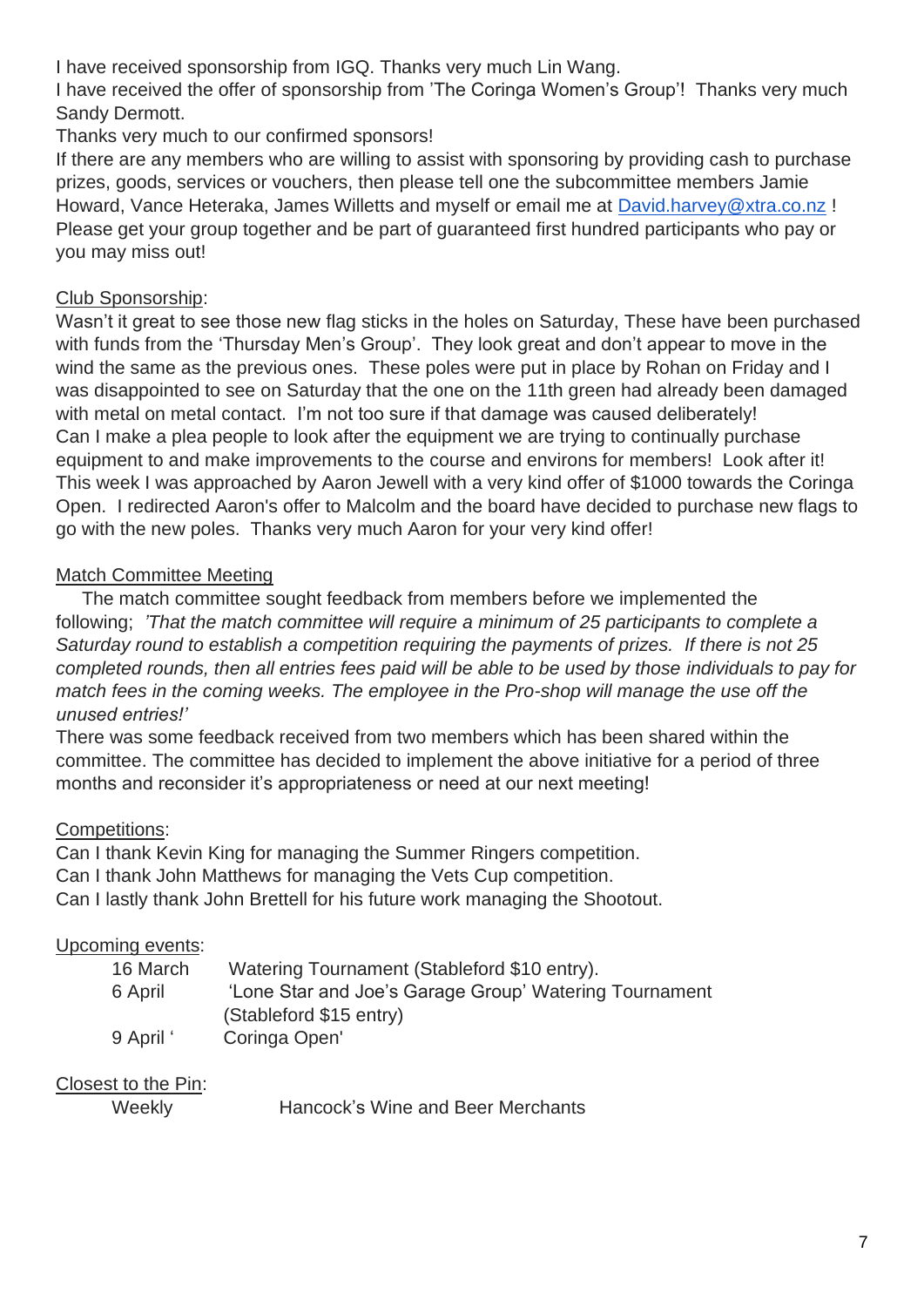I have received sponsorship from IGQ. Thanks very much Lin Wang.

I have received the offer of sponsorship from 'The Coringa Women's Group'! Thanks very much Sandy Dermott.

Thanks very much to our confirmed sponsors!

If there are any members who are willing to assist with sponsoring by providing cash to purchase prizes, goods, services or vouchers, then please tell one the subcommittee members Jamie Howard, Vance Heteraka, James Willetts and myself or email me at [David.harvey@xtra.co.nz](mailto:David.harvey@xtra.co.nz) ! Please get your group together and be part of guaranteed first hundred participants who pay or you may miss out!

## Club Sponsorship:

Wasn't it great to see those new flag sticks in the holes on Saturday, These have been purchased with funds from the 'Thursday Men's Group'. They look great and don't appear to move in the wind the same as the previous ones. These poles were put in place by Rohan on Friday and I was disappointed to see on Saturday that the one on the 11th green had already been damaged with metal on metal contact. I'm not too sure if that damage was caused deliberately! Can I make a plea people to look after the equipment we are trying to continually purchase equipment to and make improvements to the course and environs for members! Look after it! This week I was approached by Aaron Jewell with a very kind offer of \$1000 towards the Coringa Open. I redirected Aaron's offer to Malcolm and the board have decided to purchase new flags to go with the new poles. Thanks very much Aaron for your very kind offer!

# Match Committee Meeting

The match committee sought feedback from members before we implemented the following; *'That the match committee will require a minimum of 25 participants to complete a Saturday round to establish a competition requiring the payments of prizes. If there is not 25 completed rounds, then all entries fees paid will be able to be used by those individuals to pay for match fees in the coming weeks. The employee in the Pro-shop will manage the use off the unused entries!'*

There was some feedback received from two members which has been shared within the committee. The committee has decided to implement the above initiative for a period of three months and reconsider it's appropriateness or need at our next meeting!

# Competitions:

Can I thank Kevin King for managing the Summer Ringers competition. Can I thank John Matthews for managing the Vets Cup competition. Can I lastly thank John Brettell for his future work managing the Shootout.

## Upcoming events:

| 16 March  | Watering Tournament (Stableford \$10 entry).           |
|-----------|--------------------------------------------------------|
| 6 April   | 'Lone Star and Joe's Garage Group' Watering Tournament |
|           | (Stableford \$15 entry)                                |
| 9 April ' | Coringa Open'                                          |

Closest to the Pin:

Weekly **Hancock's Wine and Beer Merchants**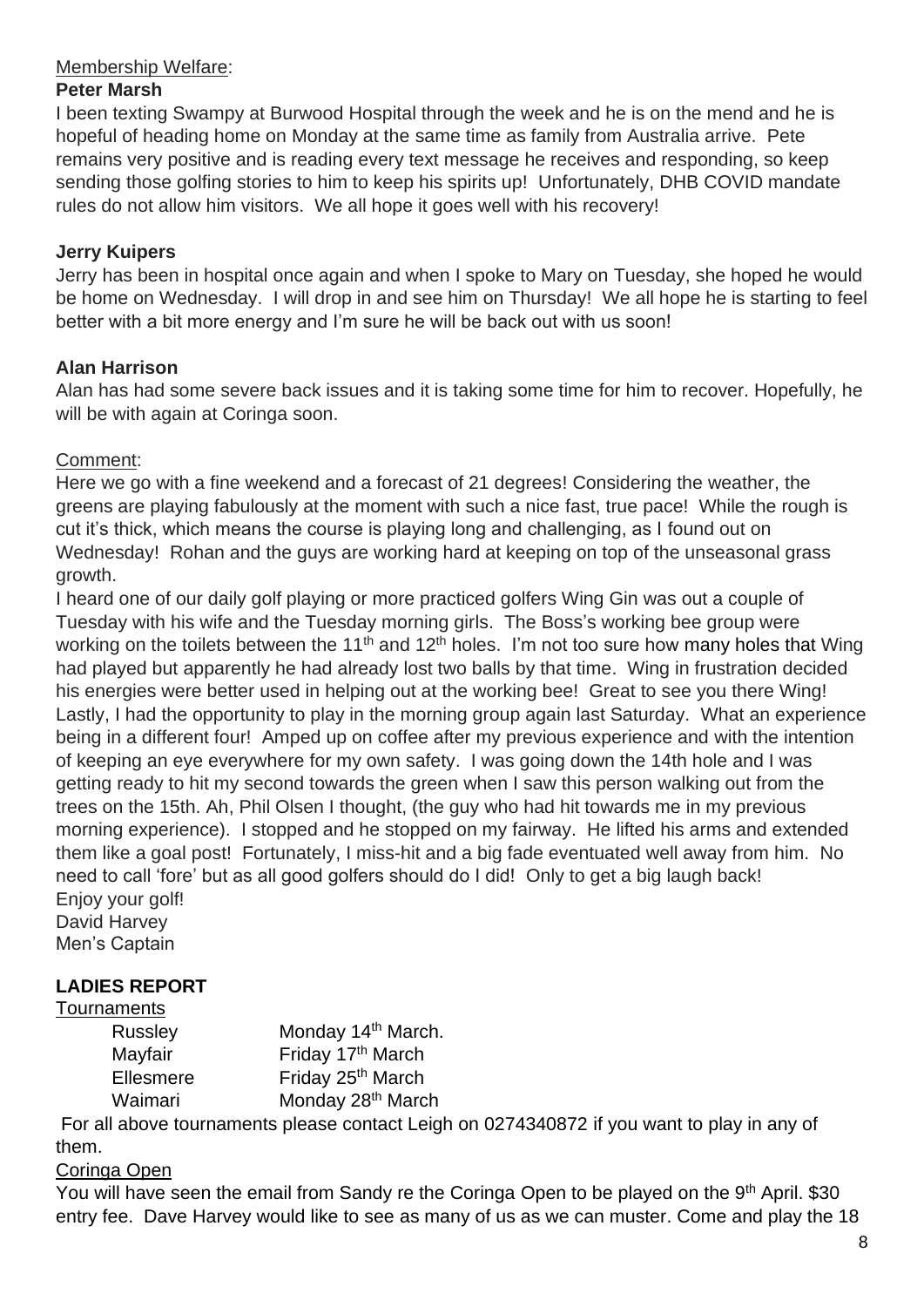#### Membership Welfare:

#### **Peter Marsh**

I been texting Swampy at Burwood Hospital through the week and he is on the mend and he is hopeful of heading home on Monday at the same time as family from Australia arrive. Pete remains very positive and is reading every text message he receives and responding, so keep sending those golfing stories to him to keep his spirits up! Unfortunately, DHB COVID mandate rules do not allow him visitors. We all hope it goes well with his recovery!

#### **Jerry Kuipers**

Jerry has been in hospital once again and when I spoke to Mary on Tuesday, she hoped he would be home on Wednesday. I will drop in and see him on Thursday! We all hope he is starting to feel better with a bit more energy and I'm sure he will be back out with us soon!

#### **Alan Harrison**

Alan has had some severe back issues and it is taking some time for him to recover. Hopefully, he will be with again at Coringa soon.

### Comment:

Here we go with a fine weekend and a forecast of 21 degrees! Considering the weather, the greens are playing fabulously at the moment with such a nice fast, true pace! While the rough is cut it's thick, which means the course is playing long and challenging, as I found out on Wednesday! Rohan and the guys are working hard at keeping on top of the unseasonal grass growth.

I heard one of our daily golf playing or more practiced golfers Wing Gin was out a couple of Tuesday with his wife and the Tuesday morning girls. The Boss's working bee group were working on the toilets between the 11<sup>th</sup> and 12<sup>th</sup> [holes](https://cinzl.sharepoint.com/sites/CINZ/Shared%20Documents/INVOICE%20NUMBERS%20ARCHIVE/INVOICE%20NUMBERS%20%2312.xlsx?web=1). I'm not too sure how many holes that Wing had played but apparently he had already lost two balls by that time. Wing in frustration decided his energies were better used in helping out at the working bee! Great to see you there Wing! Lastly, I had the opportunity to play in the morning group again last Saturday. What an experience being in a different four! Amped up on coffee after my previous experience and with the intention of keeping an eye everywhere for my own safety. I was going down the 14th hole and I was getting ready to hit my second towards the green when I saw this person walking out from the trees on the 15th. Ah, Phil Olsen I thought, (the guy who had hit towards me in my previous morning experience). I stopped and he stopped on my fairway. He lifted his arms and extended them like a goal post! Fortunately, I miss-hit and a big fade eventuated well away from him. No need to call 'fore' but as all good golfers should do I did! Only to get a big laugh back! Enjoy your golf!

David Harvey Men's Captain

## **LADIES REPORT**

#### **Tournaments**

| Russley   | Monday 14th March.            |
|-----------|-------------------------------|
| Mayfair   | Friday 17th March             |
| Ellesmere | Friday 25 <sup>th</sup> March |
| Waimari   | Monday 28 <sup>th</sup> March |

For all above tournaments please contact Leigh on 0274340872 if you want to play in any of them.

#### Coringa Open

You will have seen the email from Sandy re the Coringa Open to be played on the 9<sup>th</sup> April. \$30 entry fee. Dave Harvey would like to see as many of us as we can muster. Come and play the 18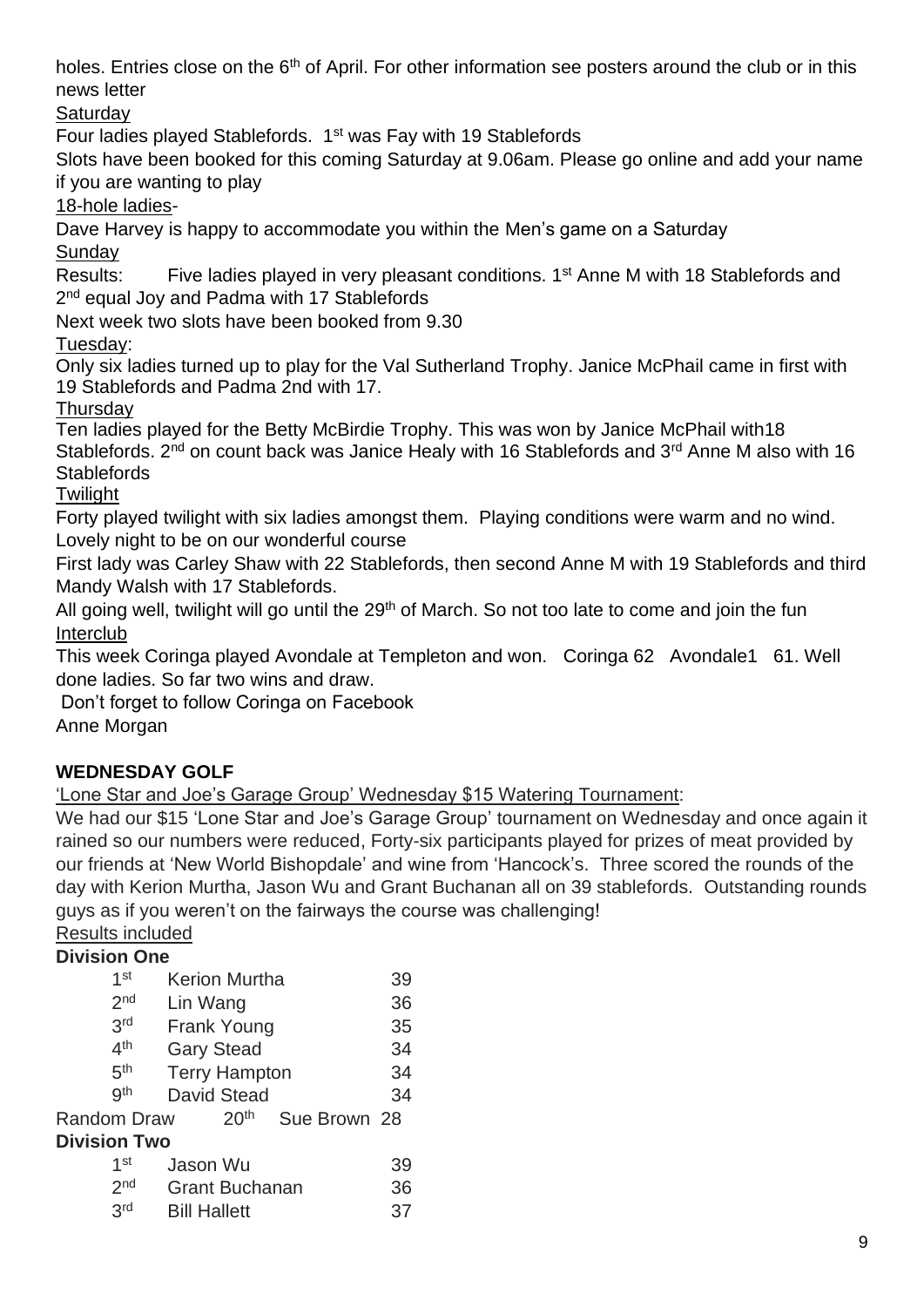holes. Entries close on the 6<sup>th</sup> of April. For other information see posters around the club or in this news letter

## **Saturdav**

Four ladies played Stablefords. 1st was Fay with 19 Stablefords

Slots have been booked for this coming Saturday at 9.06am. Please go online and add your name if you are wanting to play

18-hole ladies-

Dave Harvey is happy to accommodate you within the Men's game on a Saturday

**Sunday** 

Results: Five ladies played in very pleasant conditions. 1<sup>st</sup> Anne M with 18 Stablefords and 2<sup>nd</sup> equal Joy and Padma with 17 Stablefords

Next week two slots have been booked from 9.30

Tuesday:

Only six ladies turned up to play for the Val Sutherland Trophy. Janice McPhail came in first with 19 Stablefords and Padma 2nd with 17.

**Thursday** 

Ten ladies played for the Betty McBirdie Trophy. This was won by Janice McPhail with18 Stablefords.  $2^{nd}$  on count back was Janice Healy with 16 Stablefords and  $3^{rd}$  Anne M also with 16 **Stablefords** 

**Twilight** 

Forty played twilight with six ladies amongst them. Playing conditions were warm and no wind. Lovely night to be on our wonderful course

First lady was Carley Shaw with 22 Stablefords, then second Anne M with 19 Stablefords and third Mandy Walsh with 17 Stablefords.

All going well, twilight will go until the 29<sup>th</sup> of March. So not too late to come and join the fun Interclub

This week Coringa played Avondale at Templeton and won. Coringa 62 Avondale1 61. Well done ladies. So far two wins and draw.

Don't forget to follow Coringa on Facebook

Anne Morgan

# **WEDNESDAY GOLF**

'Lone Star and Joe's Garage Group' Wednesday \$15 Watering Tournament:

We had our \$15 'Lone Star and Joe's Garage Group' tournament on Wednesday and once again it rained so our numbers were reduced, Forty-six participants played for prizes of meat provided by our friends at 'New World Bishopdale' and wine from 'Hancock's. Three scored the rounds of the day with Kerion Murtha, Jason Wu and Grant Buchanan all on 39 stablefords. Outstanding rounds guys as if you weren't on the fairways the course was challenging!

Results included **Division One**

| PIVISIVII VIIC      |                                  |    |
|---------------------|----------------------------------|----|
| 1 <sup>st</sup>     | <b>Kerion Murtha</b>             | 39 |
| 2 <sub>nd</sub>     | Lin Wang                         | 36 |
| 3rd                 | <b>Frank Young</b>               | 35 |
| 4 <sup>th</sup>     | <b>Gary Stead</b>                | 34 |
| 5 <sup>th</sup>     | <b>Terry Hampton</b>             | 34 |
| gth                 | <b>David Stead</b>               | 34 |
| <b>Random Draw</b>  | 20 <sup>th</sup><br>Sue Brown 28 |    |
| <b>Division Two</b> |                                  |    |
| 1st                 | Jason Wu                         | 39 |
| 2 <sub>nd</sub>     | <b>Grant Buchanan</b>            | 36 |
| 3rd                 | <b>Bill Hallett</b>              | 37 |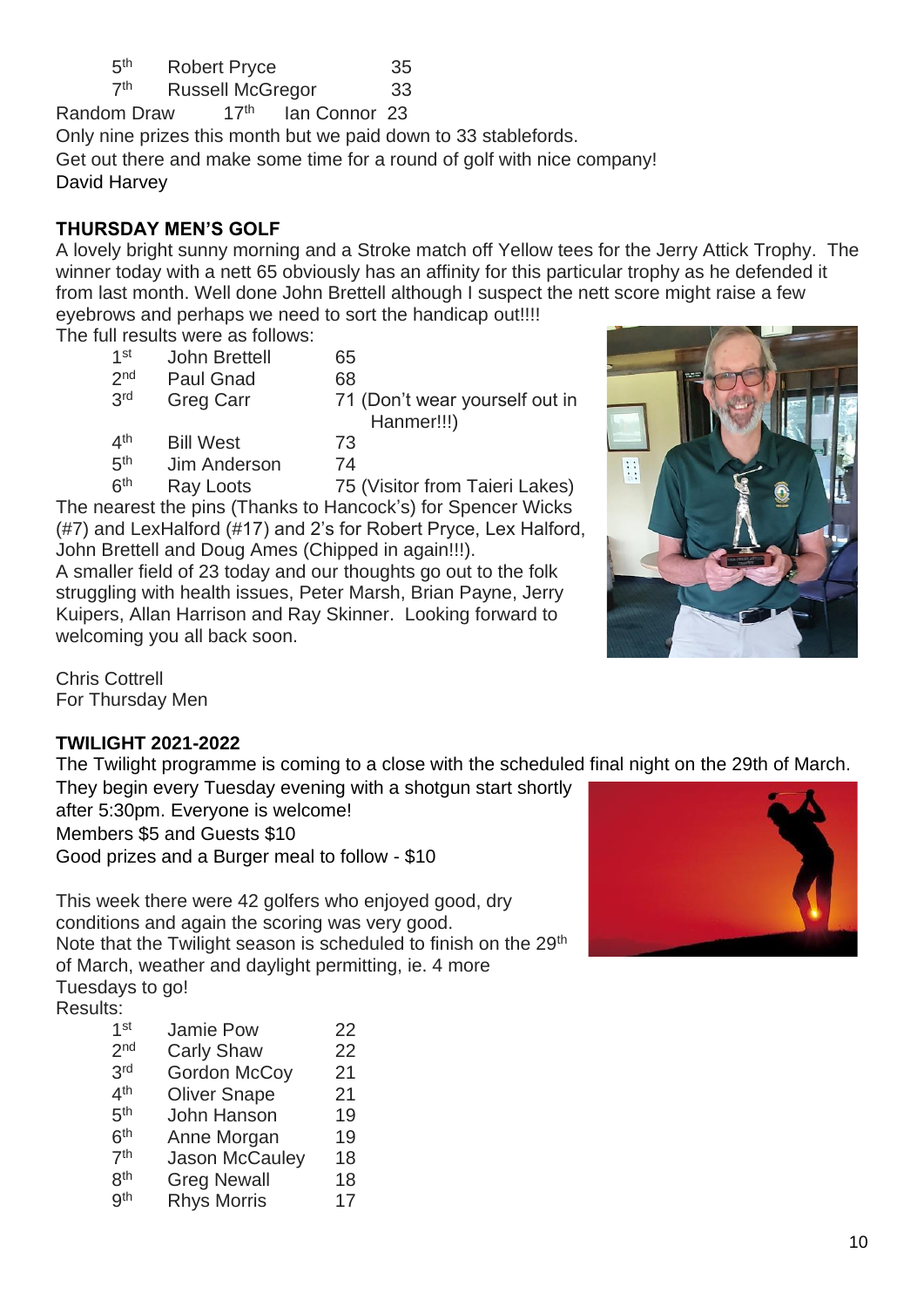| 5 <sup>th</sup> | <b>Robert Pryce</b> | 35 |
|-----------------|---------------------|----|
|-----------------|---------------------|----|

 $7<sup>th</sup>$ Russell McGregor 33

Random Draw 17th Ian Connor 23 Only nine prizes this month but we paid down to 33 stablefords. Get out there and make some time for a round of golf with nice company! David Harvey

## **THURSDAY MEN'S GOLF**

A lovely bright sunny morning and a Stroke match off Yellow tees for the Jerry Attick Trophy. The winner today with a nett 65 obviously has an affinity for this particular trophy as he defended it from last month. Well done John Brettell although I suspect the nett score might raise a few eyebrows and perhaps we need to sort the handicap out!!!!

The full results were as follows:

| 1 <sup>st</sup> | John Brettell    | 65                             |
|-----------------|------------------|--------------------------------|
| 2 <sub>nd</sub> | <b>Paul Gnad</b> | 68                             |
| 3 <sup>rd</sup> | <b>Greg Carr</b> | 71 (Don't wear yourself out in |
|                 |                  | Hanmer!!!)                     |
| 4 <sup>th</sup> | <b>Bill West</b> | 73                             |
| 5 <sup>th</sup> | Jim Anderson     | 74                             |
| الملاحم         |                  |                                |

 $6<sup>th</sup>$ Ray Loots 75 (Visitor from Taieri Lakes) The nearest the pins (Thanks to Hancock's) for Spencer Wicks (#7) and LexHalford (#17) and 2's for Robert Pryce, Lex Halford, John Brettell and Doug Ames (Chipped in again!!!).

A smaller field of 23 today and our thoughts go out to the folk struggling with health issues, Peter Marsh, Brian Payne, Jerry Kuipers, Allan Harrison and Ray Skinner. Looking forward to welcoming you all back soon.

Chris Cottrell For Thursday Men

## **TWILIGHT 2021-2022**

The Twilight programme is coming to a close with the scheduled final night on the 29th of March.

They begin every Tuesday evening with a shotgun start shortly after 5:30pm. Everyone is welcome! Members \$5 and Guests \$10 Good prizes and a Burger meal to follow - \$10

This week there were 42 golfers who enjoyed good, dry conditions and again the scoring was very good. Note that the Twilight season is scheduled to finish on the 29<sup>th</sup> of March, weather and daylight permitting, ie. 4 more

Tuesdays to go!

| <b>Results:</b> |  |
|-----------------|--|
|                 |  |

| 2 <sub>nd</sub><br><b>Carly Shaw</b><br>3 <sup>rd</sup><br><b>Gordon McCoy</b><br>4 <sup>th</sup><br><b>Oliver Snape</b><br>5 <sup>th</sup><br>John Hanson<br>6 <sup>th</sup><br>Anne Morgan<br>7 <sup>th</sup><br><b>Jason McCauley</b><br>8 <sup>th</sup><br><b>Greg Newall</b><br>gth<br><b>Rhys Morris</b> | 1 <sup>st</sup> | <b>Jamie Pow</b> | 22 |
|----------------------------------------------------------------------------------------------------------------------------------------------------------------------------------------------------------------------------------------------------------------------------------------------------------------|-----------------|------------------|----|
|                                                                                                                                                                                                                                                                                                                |                 |                  | 22 |
|                                                                                                                                                                                                                                                                                                                |                 |                  | 21 |
|                                                                                                                                                                                                                                                                                                                |                 |                  | 21 |
|                                                                                                                                                                                                                                                                                                                |                 |                  | 19 |
|                                                                                                                                                                                                                                                                                                                |                 |                  | 19 |
|                                                                                                                                                                                                                                                                                                                |                 |                  | 18 |
|                                                                                                                                                                                                                                                                                                                |                 |                  | 18 |
|                                                                                                                                                                                                                                                                                                                |                 |                  | 17 |



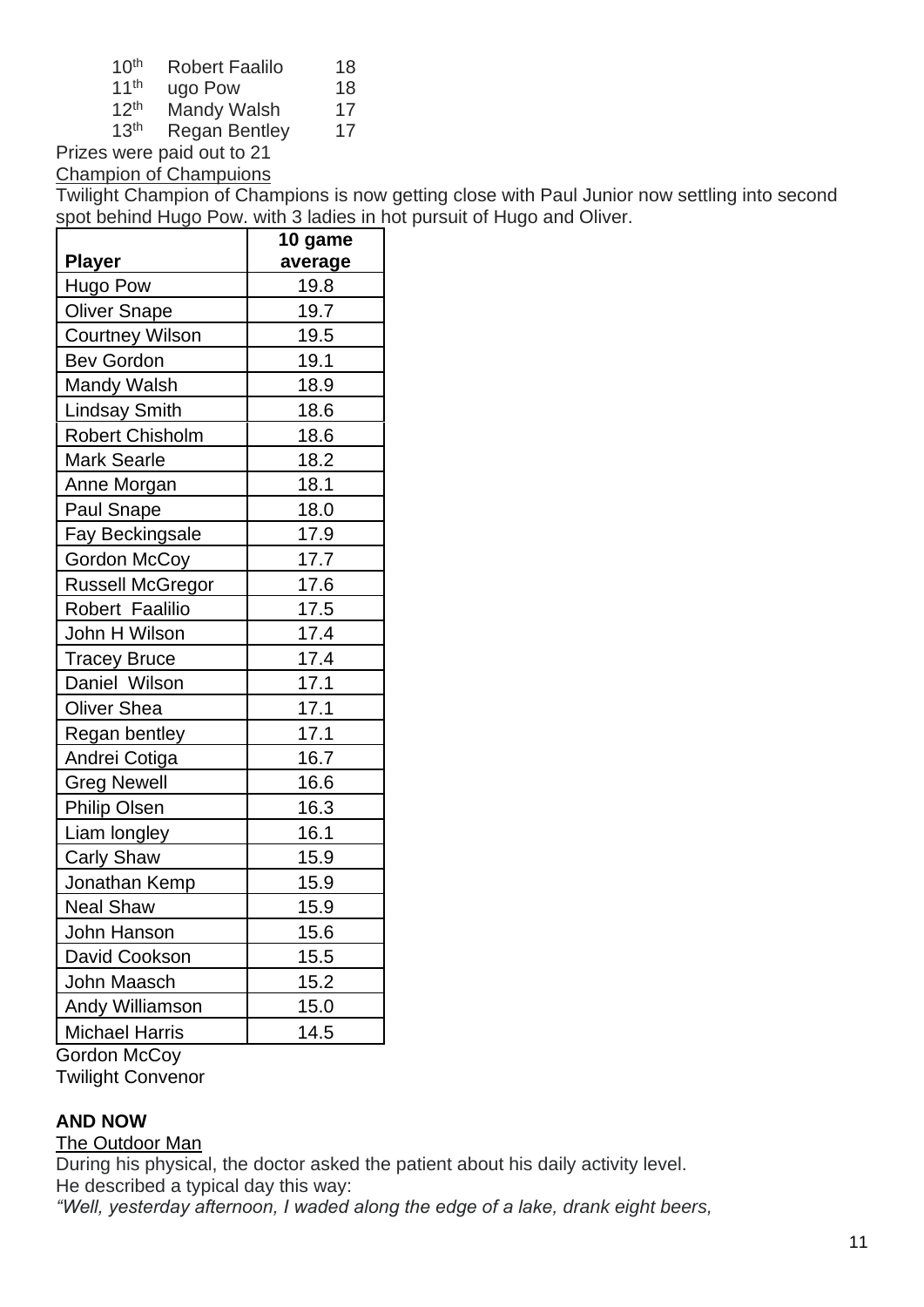| 10 <sup>th</sup> | <b>Robert Faalilo</b> | 18 |
|------------------|-----------------------|----|
| <b>A</b> Ath     | <b>.</b>              |    |

- 11<sup>th</sup> ugo Pow 18
- $12^{th}$  Mandy Walsh  $17^{th}$  Regan Bentley 17 Regan Bentley 17

Prizes were paid out to 21

Champion of Champuions

Twilight Champion of Champions is now getting close with Paul Junior now settling into second spot behind Hugo Pow. with 3 ladies in hot pursuit of Hugo and Oliver.

|                         | 10 game |  |  |
|-------------------------|---------|--|--|
| <b>Player</b>           | average |  |  |
| Hugo Pow                | 19.8    |  |  |
| <b>Oliver Snape</b>     | 19.7    |  |  |
| <b>Courtney Wilson</b>  | 19.5    |  |  |
| <b>Bev Gordon</b>       | 19.1    |  |  |
| <b>Mandy Walsh</b>      | 18.9    |  |  |
| <b>Lindsay Smith</b>    | 18.6    |  |  |
| <b>Robert Chisholm</b>  | 18.6    |  |  |
| <b>Mark Searle</b>      | 18.2    |  |  |
| Anne Morgan             | 18.1    |  |  |
| Paul Snape              | 18.0    |  |  |
| <b>Fay Beckingsale</b>  | 17.9    |  |  |
| Gordon McCoy            | 17.7    |  |  |
| <b>Russell McGregor</b> | 17.6    |  |  |
| Robert Faalilio         | 17.5    |  |  |
| John H Wilson           | 17.4    |  |  |
| <b>Tracey Bruce</b>     | 17.4    |  |  |
| Daniel Wilson           | 17.1    |  |  |
| <b>Oliver Shea</b>      | 17.1    |  |  |
| Regan bentley           | 17.1    |  |  |
| Andrei Cotiga           | 16.7    |  |  |
| <b>Greg Newell</b>      | 16.6    |  |  |
| <b>Philip Olsen</b>     | 16.3    |  |  |
| Liam longley            | 16.1    |  |  |
| <b>Carly Shaw</b>       | 15.9    |  |  |
| Jonathan Kemp           | 15.9    |  |  |
| <b>Neal Shaw</b>        | 15.9    |  |  |
| John Hanson             | 15.6    |  |  |
| David Cookson           | 15.5    |  |  |
| John Maasch             | 15.2    |  |  |
| <b>Andy Williamson</b>  | 15.0    |  |  |
| <b>Michael Harris</b>   | 14.5    |  |  |
| Gordon McCoy            |         |  |  |

Twilight Convenor

#### **AND NOW**

#### The Outdoor Man

During his physical, the doctor asked the patient about his daily activity level. He described a typical day this way:

*"Well, yesterday afternoon, I waded along the edge of a lake, drank eight beers,*